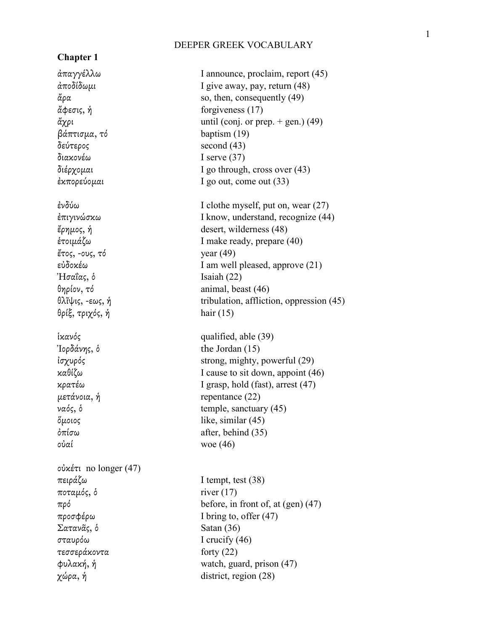# **Chapter 1**

 $β*α*πτισμα, τ*δ*$  baptism (19) δεύτερος second (43) διακονέω I serve (37) ἔτος, -ους, τό year (49)  $H\sigma\alpha\alpha\zeta$ , δ Isaiah (22) θρίξ, τριχός, ἡ hair (15)

οὐαί woe (46)

οὐκέτι no longer (47) πειράζω I tempt, test (38)  $ποταμός, δ$  river (17) προσφέρω I bring to, offer (47) Σατανᾶς, ὁ Satan (36) σταυρόω I crucify (46) τεσσεράκοντα forty (22)  $\chi$ ώρα, ή district, region (28)

ἀπαγγέλλω I announce, proclaim, report (45) ἀποδίδωµι I give away, pay, return (48)  $\ddot{\alpha} \rho \alpha$  so, then, consequently (49)  $\mathring{\alpha}$ φεσις, ή forgiveness (17)  $\ddot{\alpha} \chi \rho \iota$  until (conj. or prep. + gen.) (49) διέρχοµαι I go through, cross over (43) ἐκπορεύοµαι I go out, come out (33) ἐνδύω I clothe myself, put on, wear (27) ἐπιγινώσκω I know, understand, recognize (44) ἔρηµος, ἡ desert, wilderness (48) ἑτοιµάζω I make ready, prepare (40) εὐδοκέω I am well pleased, approve (21) θηρίον, τό animal, beast (46) θλῖψις, -εως, ἡ tribulation, affliction, oppression (45) ἱκανός qualified, able (39)  $\partial$  Ioρδάνης, δ the Jordan (15) ἰσχυρός strong, mighty, powerful (29) καθίζω I cause to sit down, appoint (46) κρατέω I grasp, hold (fast), arrest (47)  $μ$ ετάνοια, ή repentance (22) ναός, ὁ temple, sanctuary (45) ὅµοιος like, similar (45)  $\delta \pi i \sigma \omega$  after, behind (35)

πρό before, in front of, at (gen) (47) φυλακή, ἡ watch, guard, prison (47)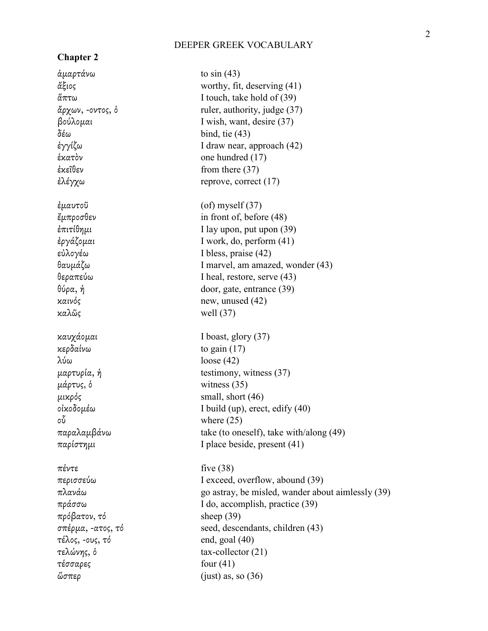| <b>Chapter 2</b>  |                                                   |
|-------------------|---------------------------------------------------|
| αμαρτάνω          | to $sin(43)$                                      |
| ἄξιος             | worthy, fit, deserving $(41)$                     |
| άπτω              | I touch, take hold of (39)                        |
| ἄρχων, -οντος, δ  | ruler, authority, judge (37)                      |
| βούλομαι          | I wish, want, desire (37)                         |
| δέω               | bind, tie $(43)$                                  |
| ἐγγίζω            | I draw near, approach (42)                        |
| έκατὸν            | one hundred (17)                                  |
| ἐκεῖθεν           | from there $(37)$                                 |
| ἐλέγχω            | reprove, correct $(17)$                           |
| ἐμαυτοῦ           | $\left( \text{of} \right)$ myself (37)            |
| ἔμπροσθεν         | in front of, before (48)                          |
| ἐπιτίθημι         | I lay upon, put upon (39)                         |
| ἐργάζομαι         | I work, do, perform (41)                          |
| εὐλογέω           | I bless, praise (42)                              |
| θαυμάζω           | I marvel, am amazed, wonder (43)                  |
| θεραπεύω          | I heal, restore, serve (43)                       |
| θύρα, ή           | door, gate, entrance (39)                         |
| καινός            | new, unused $(42)$                                |
| καλῶς             | well $(37)$                                       |
| καυχάομαι         | I boast, glory $(37)$                             |
| κερδαίνω          | to gain $(17)$                                    |
| λύω               | loose $(42)$                                      |
| μαρτυρία, ή       | testimony, witness $(37)$                         |
| μάρτυς, δ         | witness $(35)$                                    |
| μικρός            | small, short (46)                                 |
| οἰκοδομέω         | I build (up), erect, edify $(40)$                 |
| οὖ                | where $(25)$                                      |
| παραλαμβάνω       | take (to oneself), take with/along (49)           |
| παρίστημι         | I place beside, present (41)                      |
| πέντε             | five $(38)$                                       |
| περισσεύω         | I exceed, overflow, abound (39)                   |
| πλανάω            | go astray, be misled, wander about aimlessly (39) |
| πράσσω            | I do, accomplish, practice (39)                   |
| πρόβατον, τό      | sheep $(39)$                                      |
| σπέρμα, -ατος, τό | seed, descendants, children (43)                  |
| τέλος, -ους, τό   | end, goal $(40)$                                  |
| τελώνης, δ        | $tax$ -collector $(21)$                           |
| τέσσαρες          | four $(41)$                                       |
| ὥσπερ             | (just) as, so $(36)$                              |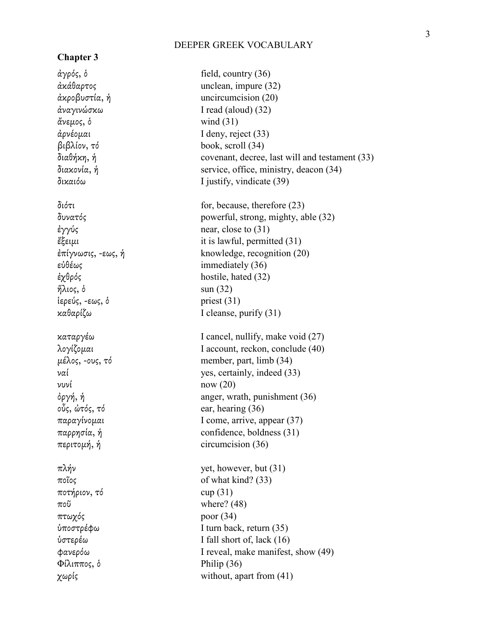# **Chapter 3**

ἄνεµος, ὁ wind (31)  $\eta \lambda$ ιος, δ sun (32) ἱερεύς, -εως, ὁ priest (31) νυνί now (20) ποτήριον, τό cup (31) ποῦ where? (48) πτωχός poor (34)  $Φίλιππος, δ$  Philip (36)

ἀγρός, ὁ field, country (36) ἀκάθαρτος unclean, impure (32) ἀκροβυστία, ἡ uncircumcision (20) ἀναγινώσκω I read (aloud) (32) ἀρνέοµαι I deny, reject (33) βιβλίον, τό book, scroll (34) διαθήκη, ἡ covenant, decree, last will and testament (33) διακονία, ἡ service, office, ministry, deacon (34) δικαιόω I justify, vindicate (39) διότι for, because, therefore (23) δυνατός powerful, strong, mighty, able (32) ἐγγύς near, close to (31) ἔξειµι it is lawful, permitted (31) ἐπίγνωσις, -εως, ἡ knowledge, recognition (20) εὐθέως immediately (36) ἐχθρός hostile, hated (32) καθαρίζω I cleanse, purify (31) καταργέω I cancel, nullify, make void (27) λογίζοµαι I account, reckon, conclude (40)  $\mu \neq \lambda$ ος, -ους, τό member, part, limb (34) ναί yes, certainly, indeed (33)  $\delta \rho \gamma \eta$ , ή anger, wrath, punishment (36) οὖς, ὠτός, τό ear, hearing (36) παραγίνοµαι I come, arrive, appear (37) παρρησία, ἡ confidence, boldness (31) περιτοµή, ἡ circumcision (36)  $πλήν$  yet, however, but (31) ποῖος of what kind? (33) ὑποστρέφω I turn back, return (35) ὑστερέω I fall short of, lack (16) φανερόω I reveal, make manifest, show (49) χωρίς without, apart from (41)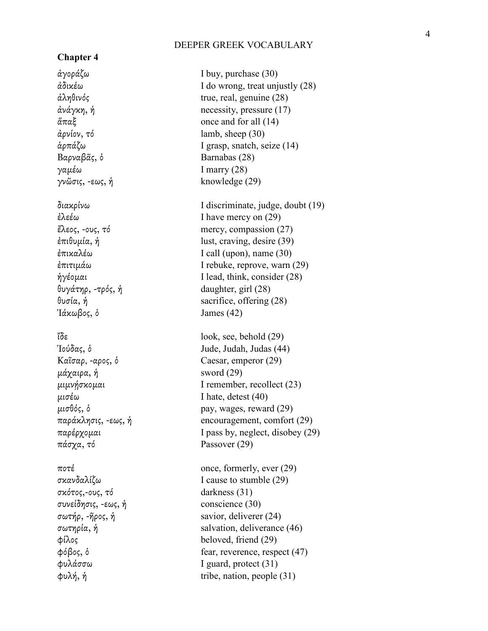# **Chapter 4**

ἀρνίον, τό lamb, sheep (30) Βαρναβᾶς, ὁ Barnabas (28) γαµέω I marry (28) γνῶσις, -εως,  $\text{James (42)}$  $μάχαιρα, *ή*$  sword (29) παράκλησις, -εως, πάσχα, τό Passover (29) σκότος,-ους, τό darkness (31) συνείδησις, -εως,

ἀγοράζω I buy, purchase (30) ἀδικέω I do wrong, treat unjustly (28) ἀληθινός true, real, genuine (28) ἀνάγκη, ἡ necessity, pressure (17)  $\mathring{\alpha}\pi\alpha\xi$  once and for all (14) ἁρπάζω I grasp, snatch, seize (14) knowledge (29) διακρίνω I discriminate, judge, doubt (19) ἐλεέω I have mercy on (29) ἔλεος, -ους, τό mercy, compassion (27) ἐπιθυµία, ἡ lust, craving, desire (39) ἐπικαλέω I call (upon), name (30) ἐπιτιµάω I rebuke, reprove, warn (29) ἡγέοµαι I lead, think, consider (28) θυγάτηρ, -τρός, ἡ daughter, girl (28) θυσία, ἡ sacrifice, offering (28) ἴδε look, see, behold (29) Ἰούδας, ὁ Jude, Judah, Judas (44) Καῖσαρ, -αρος, ὁ Caesar, emperor (29) μιμνήσκομαι I remember, recollect (23) µισέω I hate, detest (40)  $\mu \sigma \theta$ ός, δ pay, wages, reward (29) encouragement, comfort (29) παρέρχοµαι I pass by, neglect, disobey (29) ποτέ once, formerly, ever (29) σκανδαλίζω I cause to stumble (29) conscience (30) σωτήρ, -ῆρος, ἡ savior, deliverer (24) σωτηρία, ἡ salvation, deliverance (46) φίλος beloved, friend (29) φόβος, ὁ fear, reverence, respect (47) φυλάσσω I guard, protect (31)  $φυλή, ή$  tribe, nation, people (31)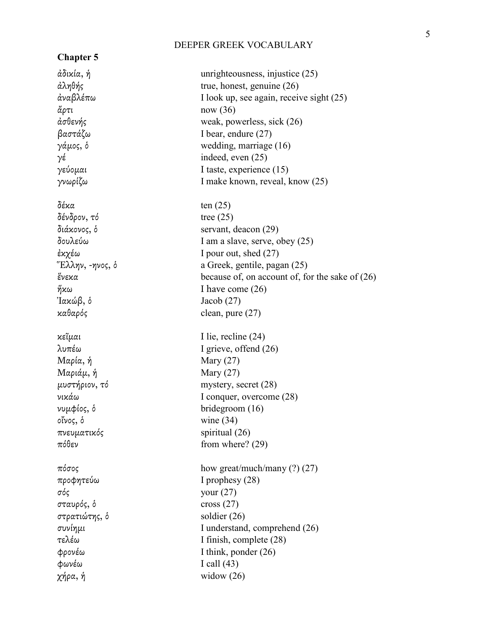| <b>Chapter 5</b> |                                                   |
|------------------|---------------------------------------------------|
| άδικία, ή        | unrighteousness, injustice $(25)$                 |
| άληθής           | true, honest, genuine $(26)$                      |
| ἀναβλέπω         | I look up, see again, receive sight (25)          |
| ἄρτι             | now (36)                                          |
| άσθενής          | weak, powerless, sick (26)                        |
| βαστάζω          | I bear, endure $(27)$                             |
| γάμος, δ         | wedding, marriage (16)                            |
| γέ               | indeed, even (25)                                 |
| γεύομαι          | I taste, experience (15)                          |
| γνωρίζω          | I make known, reveal, know (25)                   |
| δέκα             | ten $(25)$                                        |
| δένδρον, τό      | tree $(25)$                                       |
| διάκονος, δ      | servant, deacon (29)                              |
| δουλεύω          | I am a slave, serve, obey (25)                    |
| ἐκχέω            | I pour out, shed $(27)$                           |
| "Ελλην, -ηνος, δ | a Greek, gentile, pagan (25)                      |
| ἕνεκα            | because of, on account of, for the sake of $(26)$ |
| ήκω              | I have come $(26)$                                |
| Ἰακώβ, δ         | Jacob $(27)$                                      |
| καθαρός          | clean, pure $(27)$                                |
| κεῖμαι           | I lie, recline $(24)$                             |
| λυπέω            | I grieve, offend $(26)$                           |
| Μαρία, ή         | Mary $(27)$                                       |
| Μαριάμ, ή        | Mary $(27)$                                       |
| μυστήριον, τό    | mystery, secret (28)                              |
| νικάω            | I conquer, overcome (28)                          |
| νυμφίος, ό       | bridegroom $(16)$                                 |
| οἴνος, ὁ         | wine $(34)$                                       |
| πνευματικός      | spiritual (26)                                    |
| πόθεν            | from where? $(29)$                                |
| πόσος            | how great/much/many $(?) (27)$                    |
| προφητεύω        | I prophesy (28)                                   |
| σός              | your $(27)$                                       |
| σταυρός, δ       | cross $(27)$                                      |
| στρατιώτης, δ    | soldier $(26)$                                    |
| συνίημι          | I understand, comprehend (26)                     |
| τελέω            | I finish, complete (28)                           |
| Φρονέω           | I think, ponder $(26)$                            |
| φωνέω            | I call $(43)$                                     |
| χήρα, ή          | widow $(26)$                                      |
|                  |                                                   |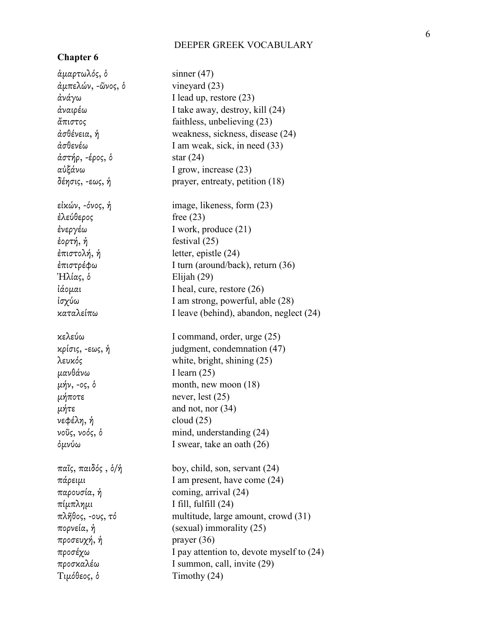# **Chapter 6**

| άμαρτωλός, δ       | sinner $(47)$                             |
|--------------------|-------------------------------------------|
| άμπελών, -ῶνος, ὁ  | vineyard $(23)$                           |
| ἀνάγω              | I lead up, restore (23)                   |
| ἀναιρέω            | I take away, destroy, kill (24)           |
| ἄπιστος            | faithless, unbelieving (23)               |
| ἀσθένεια, ἡ        | weakness, sickness, disease (24)          |
| ἀσθενέω            | I am weak, sick, in need (33)             |
| άστήρ, -έρος, δ    | star $(24)$                               |
| αὐξάνω             | I grow, increase (23)                     |
| δέησις, -εως, ἡ    | prayer, entreaty, petition (18)           |
| εἰκών, -όνος, ἡ    | image, likeness, form (23)                |
| ἐλεύθερος          | free $(23)$                               |
| ἐνεργέω            | I work, produce (21)                      |
| έορτή, ή           | festival $(25)$                           |
| ἐπιστολή, ἡ        | letter, epistle (24)                      |
| ἐπιστρέφω          | I turn (around/back), return (36)         |
| Ήλίας, ὁ           | Elijah $(29)$                             |
| ἰάομαι             | I heal, cure, restore (26)                |
| ἰσχύω              | I am strong, powerful, able (28)          |
| καταλείπω          | I leave (behind), abandon, neglect (24)   |
| κελεύω             | I command, order, urge (25)               |
| κρίσις, -εως, ή    | judgment, condemnation (47)               |
| λευκός             | white, bright, shining (25)               |
| μανθάνω            | I learn $(25)$                            |
| μήν, -ος, δ        | month, new moon $(18)$                    |
| μήποτε             | never, lest $(25)$                        |
| μήτε               | and not, nor $(34)$                       |
| νεφέλη, ή          | cloud $(25)$                              |
| νοῦς, νοός, ὁ      | mind, understanding (24)                  |
| ὀμνύω              | I swear, take an oath (26)                |
| παῖς, παιδός , ὁ/ἡ | boy, child, son, servant (24)             |
| πάρειμι            | I am present, have come (24)              |
| παρουσία, ή        | coming, arrival (24)                      |
| πίμπλημι           | I fill, fulfill $(24)$                    |
| πλῆθος, -ους, τό   | multitude, large amount, crowd (31)       |
| πορνεία, ή         | (sexual) immorality (25)                  |
| προσευχή, ἡ        | prayer $(36)$                             |
| προσέχω            | I pay attention to, devote myself to (24) |
| προσκαλέω          | I summon, call, invite (29)               |
| Τιμόθεος, ὁ        | Timothy (24)                              |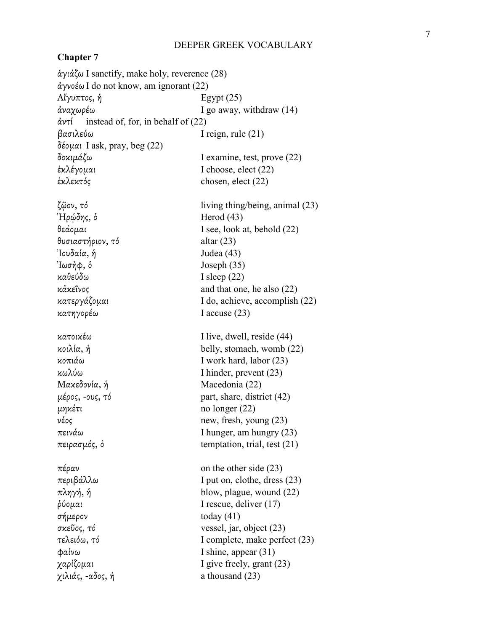# **Chapter 7**

ἁγιάζω I sanctify, make holy, reverence (28) ἀγνοέω I do not know, am ignorant (22)  $A''$ γυπτος, ή Egypt (25) ἀναχωρέω I go away, withdraw (14) ἀντί instead of, for, in behalf of (22) βασιλεύω I reign, rule (21) δέοµαι I ask, pray, beg (22) δοκιµάζω I examine, test, prove (22) ἐκλέγοµαι I choose, elect (22) ἐκλεκτός chosen, elect (22) ζῷον, τό living thing/being, animal (23)  $H$ ρώδης, δ Herod (43) θεάοµαι I see, look at, behold (22) θυσιαστήριον, τό altar (23) Ἰουδαία, Judea  $(43)$  $J\omega\sigma\eta\phi$ , δ  $Joseph(35)$ καθεύδω I sleep (22) κἀκεῖνος and that one, he also (22) κατεργάζοµαι I do, achieve, accomplish (22) κατηγορέω I accuse (23) κατοικέω I live, dwell, reside (44) κοιλία, ἡ belly, stomach, womb (22) κοπιάω I work hard, labor (23) κωλύω I hinder, prevent (23) Μακεδονία, ἡ Macedonia (22)  $\mu \neq \rho$ ος, -ους, τό part, share, district (42)  $μηκέτι$  no longer (22) νέος new, fresh, young (23) πεινάω I hunger, am hungry (23) πειρασµός, ὁ temptation, trial, test (21)  $π$ έραν on the other side (23) περιβάλλω I put on, clothe, dress (23) πληγή, ἡ blow, plague, wound (22) ῥύοµαι I rescue, deliver (17) σήµερον today (41) σκεῦος, τό vessel, jar, object (23) τελειόω, τό I complete, make perfect (23) φαίνω I shine, appear (31) χαρίζοµαι I give freely, grant (23)  $\chi$ ιλιάς, -αδος, ή a thousand (23)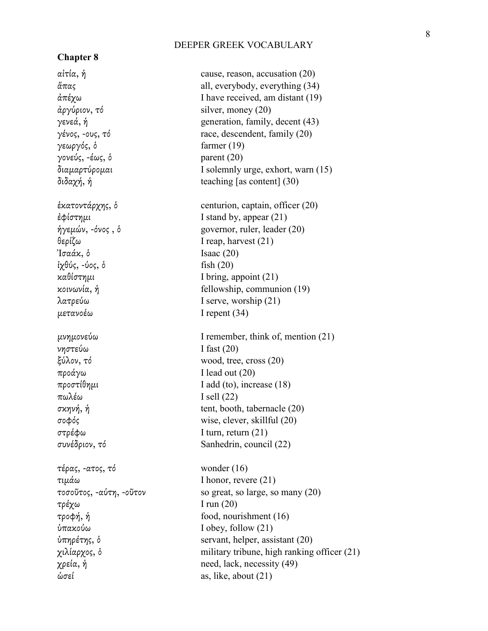# **Chapter 8**

αἰτία, ἡ cause, reason, accusation (20)  $$ γεωργός, ὁ farmer (19) γονεύς, -έως, ὁ parent (20) θερίζω I reap, harvest (21)  $\text{Tr} \alpha \dot{\alpha} \dot{\alpha}$ , δ  $\text{Isaac (20)}$ ἰχθύς, -ύος, ὁ fish (20) µετανοέω I repent (34) νηστεύω I fast (20) προάγω I lead out (20) πωλέω I sell (22) στρέφω I turn, return (21) τέρας, -ατος, τό wonder (16) τιµάω I honor, revere (21) τρέχω I run (20) ὑπακούω I obey, follow (21)

ἅπας all, everybody, everything (34)  $\alpha \pi \epsilon \chi \omega$  I have received, am distant (19) γενεά, ἡ generation, family, decent (43) γένος, -ους, τό race, descendent, family  $(20)$ διαµαρτύροµαι I solemnly urge, exhort, warn (15) διδαχή, ἡ teaching [as content] (30) ἑκατοντάρχης, ὁ centurion, captain, officer (20) ἐφίστηµι I stand by, appear (21) ἡγεµών, -όνος , ὁ governor, ruler, leader (20) καθίστηµι I bring, appoint (21) κοινωνία, ἡ fellowship, communion (19) λατρεύω I serve, worship (21) µνηµονεύω I remember, think of, mention (21) ξύλον, τό wood, tree, cross (20)  $προστίθημι$  I add (to), increase (18) σκηνή, ἡ tent, booth, tabernacle (20) σοφός wise, clever, skillful (20) συνέδριον, τό Sanhedrin, council (22) τοσοῦτος, -αύτη, -οῦτον so great, so large, so many (20) τροφή, ἡ food, nourishment (16) ὑπηρέτης, ὁ servant, helper, assistant (20) χιλίαρχος, ὁ military tribune, high ranking officer (21)  $χρεία, *ή*$  need, lack, necessity (49) ὡσεί as, like, about (21)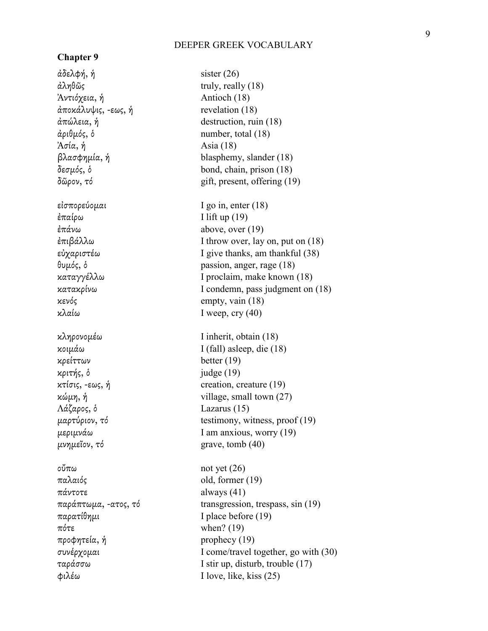# **Chapter 9**

 $\dot{\alpha}$ δελφή, ή sister (26)  $\hat{\alpha} \lambda \eta \theta \tilde{\omega}$ ς truly, really (18) Ἀντιόχεια, ἡ Antioch (18) ἀποκάλυψις, -εως, ἡ revelation (18) ἀπώλεια, ἡ destruction, ruin (18) ἀριθµός, ὁ number, total (18)  $A\sigma i\alpha$ , ή  $A\sin(18)$ βλασφηµία, ἡ blasphemy, slander (18) δεσµός, ὁ bond, chain, prison (18)  $\delta \tilde{\omega}$ ρον, τό gift, present, offering (19) εἰσπορεύοµαι I go in, enter (18) ἐπαίρω I lift up (19)  $\epsilon \pi \dot{\alpha}$ νω above, over (19) θυµός, ὁ passion, anger, rage (18) καταγγέλλω I proclaim, make known (18) κενός empty, vain (18) κλαίω I weep, cry (40) κληρονοµέω I inherit, obtain (18) κοιµάω I (fall) asleep, die (18) κρείττων better (19) κριτής, ὁ judge (19) κτίσις, -εως, ἡ creation, creature (19) κώµη, ἡ village, small town (27) Λάζαρος, ὁ Lazarus (15)  $\mu$ εριμνάω I am anxious, worry (19)  $μνημε$ ΐον, τό grave, tomb (40) οὔπω not yet (26) παλαιός old, former (19) πάντοτε always (41) παρατίθηµι I place before (19) πότε when? (19) προφητεία, ἡ prophecy (19) ταράσσω I stir up, disturb, trouble (17) φιλέω I love, like, kiss (25)

ἐπιβάλλω I throw over, lay on, put on (18) εὐχαριστέω I give thanks, am thankful (38) κατακρίνω I condemn, pass judgment on (18) µαρτύριον, τό testimony, witness, proof (19) παράπτωµα, -ατος, τό transgression, trespass, sin (19) συνέρχοµαι I come/travel together, go with (30)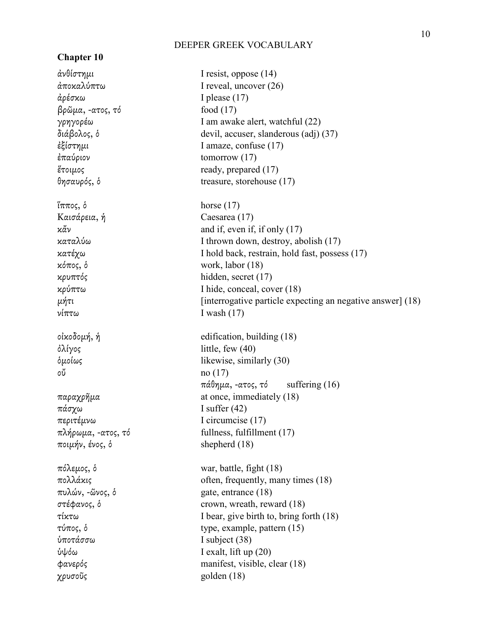# **Chapter 10**

ἀρέσκω I please (17) βρῶµα, -ατος, τό food (17) ἐπαύριον tomorrow (17) ἵππος, ὁ horse (17) Καισάρεια, ἡ Caesarea (17) κόπος, ὁ work, labor (18) κρυπτός hidden, secret (17) νίπτω I wash (17)  $δλίγος$  little, few (40) οὔ no (17) πάσχω I suffer (42) περιτέµνω I circumcise (17) ποιµήν, ένος, ὁ shepherd (18) πυλών, -ῶνος, ὁ gate, entrance (18) ὑποτάσσω I subject (38) ὑψόω I exalt, lift up (20) χρυσοῦς golden (18)

ἀνθίστηµι I resist, oppose (14) ἀποκαλύπτω I reveal, uncover (26) γρηγορέω I am awake alert, watchful (22) διάβολος, ὁ devil, accuser, slanderous (adj) (37) ἐξίστηµι I amaze, confuse (17)  $\epsilon$ τοιμος ready, prepared (17) θησαυρός, ὁ treasure, storehouse (17) κἄν and if, even if, if only (17) καταλύω I thrown down, destroy, abolish (17) κατέχω I hold back, restrain, hold fast, possess (17) κρύπτω I hide, conceal, cover (18)  $\mu$ ήτι  $\mu$ ίπι [interrogative particle expecting an negative answer] (18) οἰκοδοµή, ἡ edification, building (18) ὁµοίως likewise, similarly (30) πάθηµα, -ατος, τό suffering (16) παραχρῆµα at once, immediately (18) πλήρωµα, -ατος, τό fullness, fulfillment (17) πόλεµος, ὁ war, battle, fight (18)  $πολλάκις$  often, frequently, many times (18) στέφανος, ὁ crown, wreath, reward (18) τίκτω I bear, give birth to, bring forth (18) τύπος, ὁ type, example, pattern (15) φανερός manifest, visible, clear (18)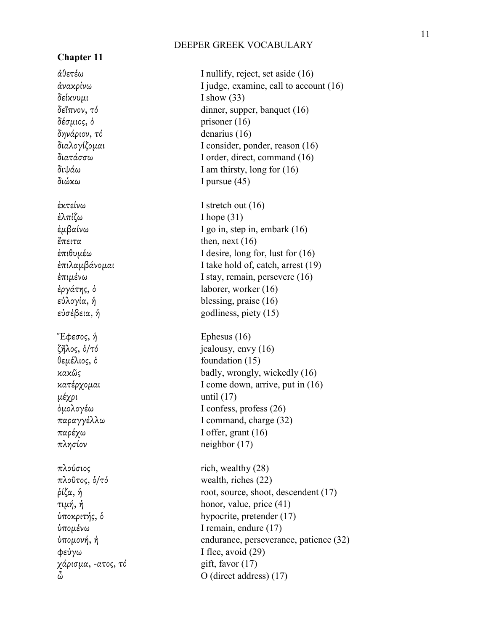# **Chapter 11**

 $δείκνυμι \tI show (33)$ δέσµιος, ὁ prisoner (16) δηνάριον, τό denarius (16) διώκω I pursue (45) ἐλπίζω I hope (31)  $\ell$ πειτα then, next (16)  $E\phi$ εσος, ή Ephesus (16)  $μέχρι$  until (17)  $πλησίον$  neighbor (17) χάρισµα, -ατος, τό gift, favor (17)

ἀθετέω I nullify, reject, set aside (16) ἀνακρίνω I judge, examine, call to account (16) δεῖπνον, τό dinner, supper, banquet (16) διαλογίζοµαι I consider, ponder, reason (16) διατάσσω I order, direct, command (16) διψάω I am thirsty, long for (16) ἐκτείνω I stretch out (16) ἐµβαίνω I go in, step in, embark (16) ἐπιθυµέω I desire, long for, lust for (16) ἐπιλαµβάνοµαι I take hold of, catch, arrest (19) ἐπιµένω I stay, remain, persevere (16) ἐργάτης, ὁ laborer, worker (16) εὐλογία, ἡ blessing, praise (16) εὐσέβεια, ἡ godliness, piety (15) ζῆλος, ὁ/τό jealousy, envy (16) θεµέλιος, ὁ foundation (15) κακῶς badly, wrongly, wickedly (16) κατέρχοµαι I come down, arrive, put in (16) ὁµολογέω I confess, profess (26) παραγγέλλω I command, charge (32) παρέχω I offer, grant (16)  $πλούσιος$  rich, wealthy (28) πλοῦτος, ὁ/τό wealth, riches (22)  $\dot{\rho}$ ίζα, ή root, source, shoot, descendent (17) τιµή, ἡ honor, value, price (41) ὑποκριτής, ὁ hypocrite, pretender (17) ὑποµένω I remain, endure (17) ὑποµονή, ἡ endurance, perseverance, patience (32)  $\phi$ εύγω I flee, avoid (29) O (direct address) (17)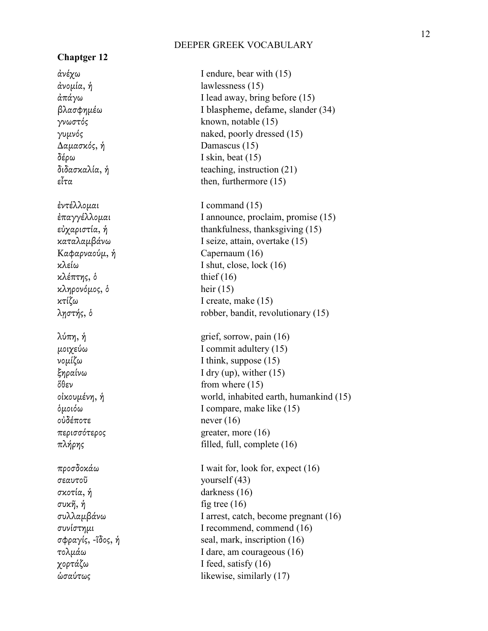## **Chaptger 12**

∆αµασκός, ἡ Damascus (15) δέρω I skin, beat (15) κλέπτης, δ thief (16) κληρονόµος, ὁ heir (15) οὐδέποτε never (16) σεαυτοῦ yourself (43) σκοτία, ἡ darkness (16) συκῆ, ἡ fig tree (16)

ἀνέχω I endure, bear with (15) ἀνοµία, ἡ lawlessness (15)  $\frac{\partial \pi}{\partial y}$  I lead away, bring before (15) βλασφηµέω I blaspheme, defame, slander (34) γνωστός known, notable (15) γυµνός naked, poorly dressed (15) διδασκαλία, ἡ teaching, instruction (21) εἶτα then, furthermore  $(15)$ ἐντέλλοµαι I command (15) ἐπαγγέλλοµαι I announce, proclaim, promise (15) εὐχαριστία, ἡ thankfulness, thanksgiving (15) καταλαµβάνω I seize, attain, overtake (15) Καφαρναούµ, ἡ Capernaum (16) κλείω I shut, close, lock (16) κτίζω I create, make (15) λῃστής, ὁ robber, bandit, revolutionary (15)  $λύπη, *ή*$  grief, sorrow, pain (16) µοιχεύω I commit adultery (15) νοµίζω I think, suppose (15) ξηραίνω I dry (up), wither (15)  $δθεν$  from where (15) οἰκουµένη, ἡ world, inhabited earth, humankind (15) ὁµοιόω I compare, make like (15) περισσότερος greater, more (16)  $πλήρης$  filled, full, complete (16) προσδοκάω I wait for, look for, expect (16) συλλαµβάνω I arrest, catch, become pregnant (16) συνίστηµι I recommend, commend (16) σφραγίς, -ῖδος, ἡ seal, mark, inscription (16) τολµάω I dare, am courageous (16) χορτάζω I feed, satisfy (16) ὡσαύτως likewise, similarly (17)